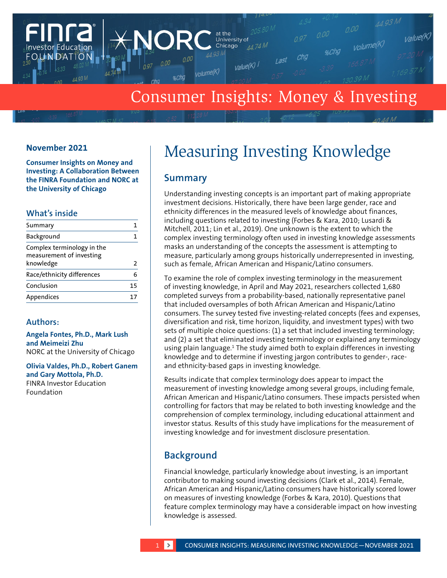

# Consumer Insights: Money & Investing

## **November 2021**

**Consumer Insights on Money and Investing: A Collaboration Between the FINRA Foundation and NORC at the University of Chicago**

## **What's inside**

| Summary                                                             |    |
|---------------------------------------------------------------------|----|
| Background                                                          |    |
| Complex terminology in the<br>measurement of investing<br>knowledge | 2  |
| Race/ethnicity differences                                          |    |
| Conclusion                                                          | 15 |
| Appendices                                                          |    |
|                                                                     |    |

## **Authors:**

**Angela Fontes, Ph.D., Mark Lush and Meimeizi Zhu** NORC at the University of Chicago

**Olivia Valdes, Ph.D., Robert Ganem and Gary Mottola, Ph.D.** FINRA Investor Education Foundation

# Measuring Investing Knowledge

# **Summary**

Understanding investing concepts is an important part of making appropriate investment decisions. Historically, there have been large gender, race and ethnicity differences in the measured levels of knowledge about finances, including questions related to investing (Forbes & Kara, 2010; Lusardi & Mitchell, 2011; Lin et al., 2019). One unknown is the extent to which the complex investing terminology often used in investing knowledge assessments masks an understanding of the concepts the assessment is attempting to measure, particularly among groups historically underrepresented in investing, such as female, African American and Hispanic/Latino consumers.

To examine the role of complex investing terminology in the measurement of investing knowledge, in April and May 2021, researchers collected 1,680 completed surveys from a probability-based, nationally representative panel that included oversamples of both African American and Hispanic/Latino consumers. The survey tested five investing-related concepts (fees and expenses, diversification and risk, time horizon, liquidity, and investment types) with two sets of multiple choice questions: (1) a set that included investing terminology; and (2) a set that eliminated investing terminology or explained any terminology using plain language.<sup>1</sup> The study aimed both to explain differences in investing knowledge and to determine if investing jargon contributes to gender-, raceand ethnicity-based gaps in investing knowledge.

Results indicate that complex terminology does appear to impact the measurement of investing knowledge among several groups, including female, African American and Hispanic/Latino consumers. These impacts persisted when controlling for factors that may be related to both investing knowledge and the comprehension of complex terminology, including educational attainment and investor status. Results of this study have implications for the measurement of investing knowledge and for investment disclosure presentation.

# **Background**

Financial knowledge, particularly knowledge about investing, is an important contributor to making sound investing decisions (Clark et al., 2014). Female, African American and Hispanic/Latino consumers have historically scored lower on measures of investing knowledge (Forbes & Kara, 2010). Questions that feature complex terminology may have a considerable impact on how investing knowledge is assessed.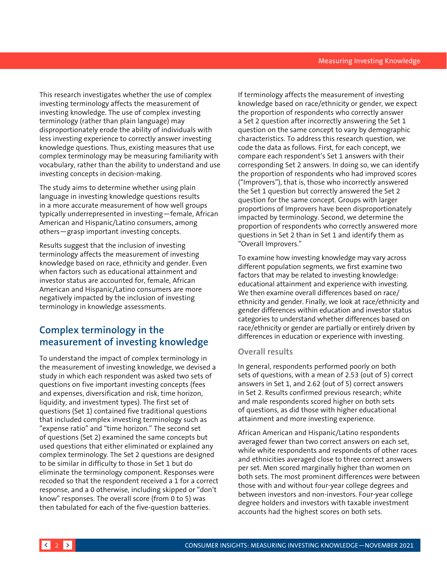<span id="page-1-0"></span>This research investigates whether the use of complex investing terminology affects the measurement of investing knowledge. The use of complex investing terminology (rather than plain language) may disproportionately erode the ability of individuals with less investing experience to correctly answer investing knowledge questions. Thus, existing measures that use complex terminology may be measuring familiarity with vocabulary, rather than the ability to understand and use investing concepts in decision-making.

The study aims to determine whether using plain language in investing knowledge questions results in a more accurate measurement of how well groups typically underrepresented in investing—female, African American and Hispanic/Latino consumers, among others—grasp important investing concepts.

Results suggest that the inclusion of investing terminology affects the measurement of investing knowledge based on race, ethnicity and gender. Even when factors such as educational attainment and investor status are accounted for, female, African American and Hispanic/Latino consumers are more negatively impacted by the inclusion of investing terminology in knowledge assessments.

# **Complex terminology in the measurement of investing knowledge**

To understand the impact of complex terminology in the measurement of investing knowledge, we devised a study in which each respondent was asked two sets of questions on five important investing concepts (fees and expenses, diversification and risk, time horizon, liquidity, and investment types). The first set of questions (Set 1) contained five traditional questions that included complex investing terminology such as "expense ratio" and "time horizon." The second set of questions (Set 2) examined the same concepts but used questions that either eliminated or explained any complex terminology. The Set 2 questions are designed to be similar in difficulty to those in Set 1 but do eliminate the terminology component. Responses were recoded so that the respondent received a 1 for a correct response, and a 0 otherwise, including skipped or "don't know" responses. The overall score (from 0 to 5) was then tabulated for each of the five-question batteries.

If terminology affects the measurement of investing knowledge based on race/ethnicity or gender, we expect the proportion of respondents who correctly answer a Set 2 question after incorrectly answering the Set 1 question on the same concept to vary by demographic characteristics. To address this research question, we code the data as follows. First, for each concept, we compare each respondent's Set 1 answers with their corresponding Set 2 answers. In doing so, we can identify the proportion of respondents who had improved scores ("Improvers"), that is, those who incorrectly answered the Set 1 question but correctly answered the Set 2 question for the same concept. Groups with larger proportions of Improvers have been disproportionately impacted by terminology. Second, we determine the proportion of respondents who correctly answered more questions in Set 2 than in Set 1 and identify them as "Overall Improvers."

To examine how investing knowledge may vary across different population segments, we first examine two factors that may be related to investing knowledge: educational attainment and experience with investing. We then examine overall differences based on race/ ethnicity and gender. Finally, we look at race/ethnicity and gender differences within education and investor status categories to understand whether differences based on race/ethnicity or gender are partially or entirely driven by differences in education or experience with investing.

## **Overall results**

In general, respondents performed poorly on both sets of questions, with a mean of 2.53 (out of 5) correct answers in Set 1, and 2.62 (out of 5) correct answers in Set 2. Results confirmed previous research; white and male respondents scored higher on both sets of questions, as did those with higher educational attainment and more investing experience.

African American and Hispanic/Latino respondents averaged fewer than two correct answers on each set, while white respondents and respondents of other races and ethnicities averaged close to three correct answers per set. Men scored marginally higher than women on both sets. The most prominent differences were between those with and without four-year college degrees and between investors and non-investors. Four-year college degree holders and investors with taxable investment accounts had the highest scores on both sets.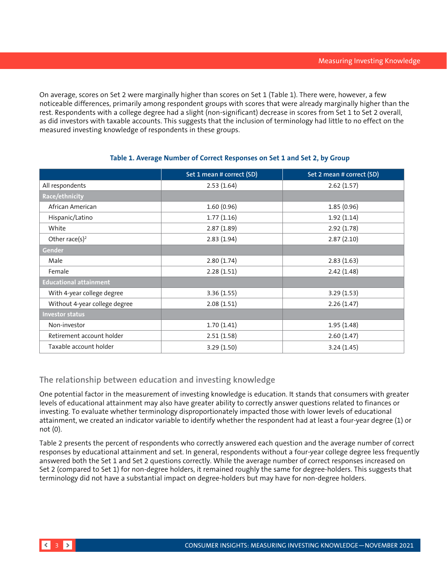On average, scores on Set 2 were marginally higher than scores on Set 1 (Table 1). There were, however, a few noticeable differences, primarily among respondent groups with scores that were already marginally higher than the rest. Respondents with a college degree had a slight (non-significant) decrease in scores from Set 1 to Set 2 overall, as did investors with taxable accounts. This suggests that the inclusion of terminology had little to no effect on the measured investing knowledge of respondents in these groups.

|                               | Set 1 mean # correct (SD) | Set 2 mean # correct (SD) |
|-------------------------------|---------------------------|---------------------------|
| All respondents               | 2.53(1.64)                | 2.62(1.57)                |
| Race/ethnicity                |                           |                           |
| African American              | 1.60(0.96)                | 1.85(0.96)                |
| Hispanic/Latino               | 1.77(1.16)                | 1.92(1.14)                |
| White                         | 2.87(1.89)                | 2.92(1.78)                |
| Other race(s) <sup>2</sup>    | 2.83(1.94)                | 2.87(2.10)                |
| Gender                        |                           |                           |
| Male                          | 2.80(1.74)                | 2.83(1.63)                |
| Female                        | 2.28(1.51)                | 2.42(1.48)                |
| <b>Educational attainment</b> |                           |                           |
| With 4-year college degree    | 3.36(1.55)                | 3.29(1.53)                |
| Without 4-year college degree | 2.08(1.51)                | 2.26(1.47)                |
| <b>Investor status</b>        |                           |                           |
| Non-investor                  | 1.70(1.41)                | 1.95(1.48)                |
| Retirement account holder     | 2.51(1.58)                | 2.60(1.47)                |
| Taxable account holder        | 3.29(1.50)                | 3.24(1.45)                |

## **Table 1. Average Number of Correct Responses on Set 1 and Set 2, by Group**

## **The relationship between education and investing knowledge**

One potential factor in the measurement of investing knowledge is education. It stands that consumers with greater levels of educational attainment may also have greater ability to correctly answer questions related to finances or investing. To evaluate whether terminology disproportionately impacted those with lower levels of educational attainment, we created an indicator variable to identify whether the respondent had at least a four-year degree (1) or not (0).

Table 2 presents the percent of respondents who correctly answered each question and the average number of correct responses by educational attainment and set. In general, respondents without a four-year college degree less frequently answered both the Set 1 and Set 2 questions correctly. While the average number of correct responses increased on Set 2 (compared to Set 1) for non-degree holders, it remained roughly the same for degree-holders. This suggests that terminology did not have a substantial impact on degree-holders but may have for non-degree holders.

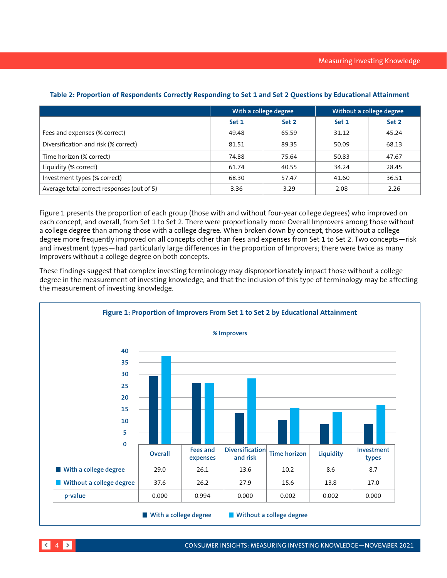|                                            | With a college degree |       | Without a college degree |       |
|--------------------------------------------|-----------------------|-------|--------------------------|-------|
|                                            | Set 1                 | Set 2 | Set 1                    | Set 2 |
| Fees and expenses (% correct)              | 49.48                 | 65.59 | 31.12                    | 45.24 |
| Diversification and risk (% correct)       | 81.51                 | 89.35 | 50.09                    | 68.13 |
| Time horizon (% correct)                   | 74.88                 | 75.64 | 50.83                    | 47.67 |
| Liquidity (% correct)                      | 61.74                 | 40.55 | 34.24                    | 28.45 |
| Investment types (% correct)               | 68.30                 | 57.47 | 41.60                    | 36.51 |
| Average total correct responses (out of 5) | 3.36                  | 3.29  | 2.08                     | 2.26  |

## **Table 2: Proportion of Respondents Correctly Responding to Set 1 and Set 2 Questions by Educational Attainment**

Figure 1 presents the proportion of each group (those with and without four-year college degrees) who improved on each concept, and overall, from Set 1 to Set 2. There were proportionally more Overall Improvers among those without a college degree than among those with a college degree. When broken down by concept, those without a college degree more frequently improved on all concepts other than fees and expenses from Set 1 to Set 2. Two concepts—risk and investment types—had particularly large differences in the proportion of Improvers; there were twice as many Improvers without a college degree on both concepts.

These findings suggest that complex investing terminology may disproportionately impact those without a college degree in the measurement of investing knowledge, and that the inclusion of this type of terminology may be affecting the measurement of investing knowledge.

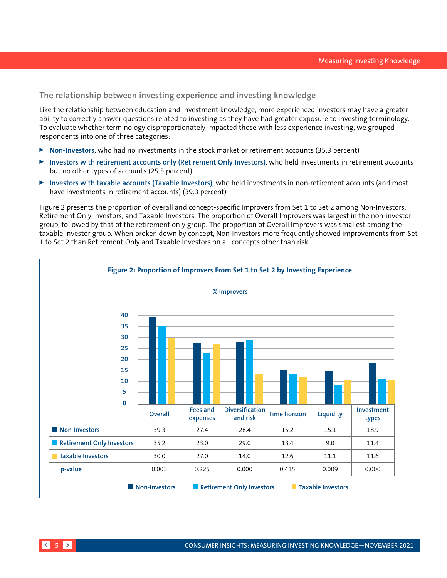## **The relationship between investing experience and investing knowledge**

Like the relationship between education and investment knowledge, more experienced investors may have a greater ability to correctly answer questions related to investing as they have had greater exposure to investing terminology. To evaluate whether terminology disproportionately impacted those with less experience investing, we grouped respondents into one of three categories:

- ▶ **Non-Investors**, who had no investments in the stock market or retirement accounts (35.3 percent)
- <sup>0</sup> **Investors with retirement accounts only (Retirement Only Investors)**, who held investments in retirement accounts but no other types of accounts (25.5 percent)
- <sup>0</sup> **Investors with taxable accounts (Taxable Investors)**, who held investments in non-retirement accounts (and most have investments in retirement accounts) (39.3 percent)

Figure 2 presents the proportion of overall and concept-specific Improvers from Set 1 to Set 2 among Non-Investors, Retirement Only Investors, and Taxable Investors. The proportion of Overall Improvers was largest in the non-investor group, followed by that of the retirement only group. The proportion of Overall Improvers was smallest among the taxable investor group. When broken down by concept, Non-Investors more frequently showed improvements from Set 1 to Set 2 than Retirement Only and Taxable Investors on all concepts other than risk.

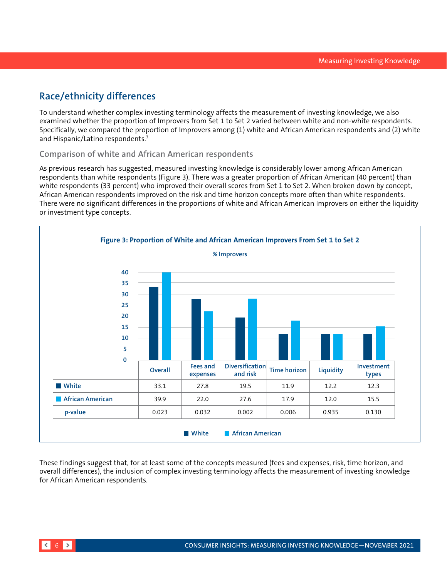# <span id="page-5-0"></span>**Race/ethnicity differences**

To understand whether complex investing terminology affects the measurement of investing knowledge, we also examined whether the proportion of Improvers from Set 1 to Set 2 varied between white and non-white respondents. Specifically, we compared the proportion of Improvers among (1) white and African American respondents and (2) white and Hispanic/Latino respondents.3

## **Comparison of white and African American respondents**

As previous research has suggested, measured investing knowledge is considerably lower among African American respondents than white respondents (Figure 3). There was a greater proportion of African American (40 percent) than white respondents (33 percent) who improved their overall scores from Set 1 to Set 2. When broken down by concept, African American respondents improved on the risk and time horizon concepts more often than white respondents. There were no significant differences in the proportions of white and African American Improvers on either the liquidity or investment type concepts.



These findings suggest that, for at least some of the concepts measured (fees and expenses, risk, time horizon, and overall differences), the inclusion of complex investing terminology affects the measurement of investing knowledge for African American respondents.

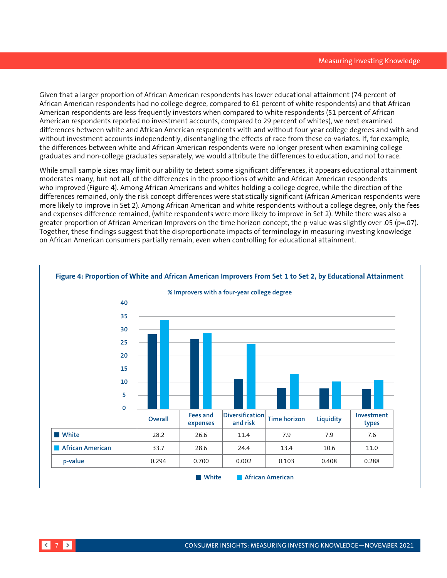Given that a larger proportion of African American respondents has lower educational attainment (74 percent of African American respondents had no college degree, compared to 61 percent of white respondents) and that African American respondents are less frequently investors when compared to white respondents (51 percent of African American respondents reported no investment accounts, compared to 29 percent of whites), we next examined differences between white and African American respondents with and without four-year college degrees and with and without investment accounts independently, disentangling the effects of race from these co-variates. If, for example, the differences between white and African American respondents were no longer present when examining college graduates and non-college graduates separately, we would attribute the differences to education, and not to race.

While small sample sizes may limit our ability to detect some significant differences, it appears educational attainment moderates many, but not all, of the differences in the proportions of white and African American respondents who improved (Figure 4). Among African Americans and whites holding a college degree, while the direction of the differences remained, only the risk concept differences were statistically significant (African American respondents were more likely to improve in Set 2). Among African American and white respondents without a college degree, only the fees and expenses difference remained, (white respondents were more likely to improve in Set 2). While there was also a greater proportion of African American Improvers on the time horizon concept, the p-value was slightly over .05 (p=.07). Together, these findings suggest that the disproportionate impacts of terminology in measuring investing knowledge on African American consumers partially remain, even when controlling for educational attainment.

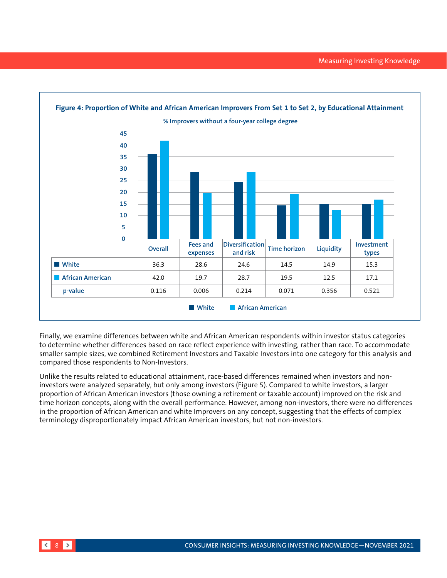

Finally, we examine differences between white and African American respondents within investor status categories to determine whether differences based on race reflect experience with investing, rather than race. To accommodate smaller sample sizes, we combined Retirement Investors and Taxable Investors into one category for this analysis and compared those respondents to Non-Investors.

Unlike the results related to educational attainment, race-based differences remained when investors and noninvestors were analyzed separately, but only among investors (Figure 5). Compared to white investors, a larger proportion of African American investors (those owning a retirement or taxable account) improved on the risk and time horizon concepts, along with the overall performance. However, among non-investors, there were no differences in the proportion of African American and white Improvers on any concept, suggesting that the effects of complex terminology disproportionately impact African American investors, but not non-investors.

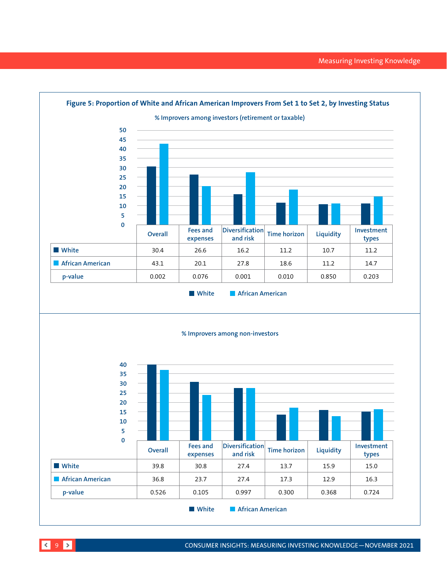

9 CONSUMER INSIGHTS: MEASURING INVESTING KNOWLEDGE—NOVEMBER 2021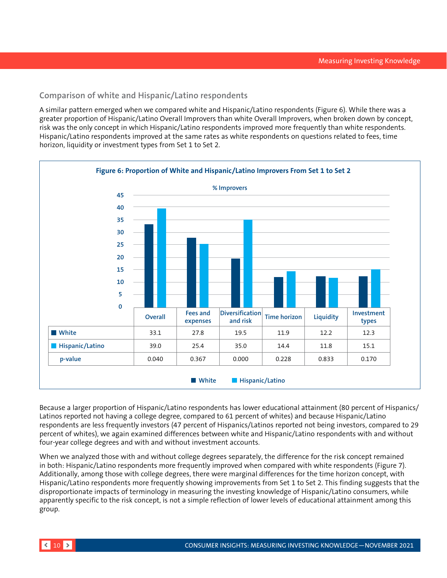## **Comparison of white and Hispanic/Latino respondents**

A similar pattern emerged when we compared white and Hispanic/Latino respondents (Figure 6). While there was a greater proportion of Hispanic/Latino Overall Improvers than white Overall Improvers, when broken down by concept, risk was the only concept in which Hispanic/Latino respondents improved more frequently than white respondents. Hispanic/Latino respondents improved at the same rates as white respondents on questions related to fees, time horizon, liquidity or investment types from Set 1 to Set 2.



Because a larger proportion of Hispanic/Latino respondents has lower educational attainment (80 percent of Hispanics/ Latinos reported not having a college degree, compared to 61 percent of whites) and because Hispanic/Latino respondents are less frequently investors (47 percent of Hispanics/Latinos reported not being investors, compared to 29 percent of whites), we again examined differences between white and Hispanic/Latino respondents with and without four-year college degrees and with and without investment accounts.

When we analyzed those with and without college degrees separately, the difference for the risk concept remained in both: Hispanic/Latino respondents more frequently improved when compared with white respondents (Figure 7). Additionally, among those with college degrees, there were marginal differences for the time horizon concept, with Hispanic/Latino respondents more frequently showing improvements from Set 1 to Set 2. This finding suggests that the disproportionate impacts of terminology in measuring the investing knowledge of Hispanic/Latino consumers, while apparently specific to the risk concept, is not a simple reflection of lower levels of educational attainment among this group.

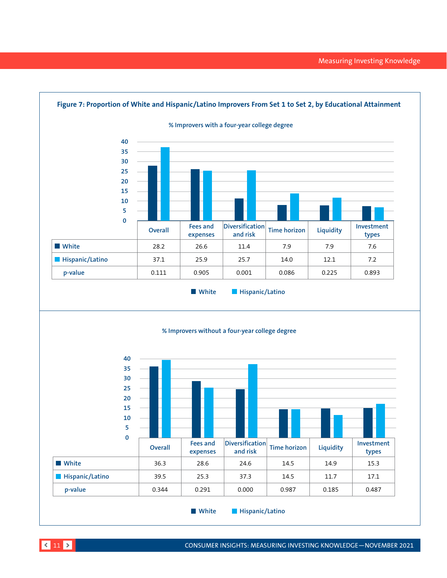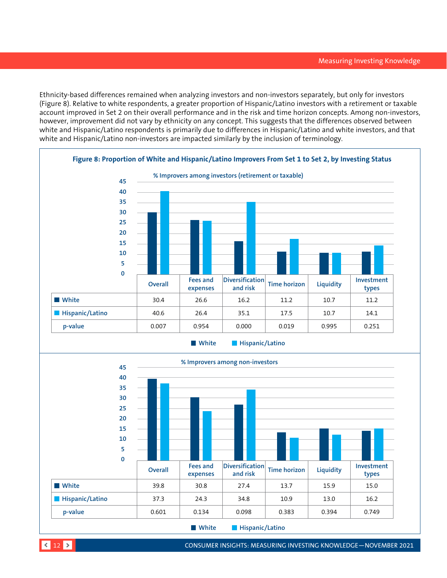Ethnicity-based differences remained when analyzing investors and non-investors separately, but only for investors (Figure 8). Relative to white respondents, a greater proportion of Hispanic/Latino investors with a retirement or taxable account improved in Set 2 on their overall performance and in the risk and time horizon concepts. Among non-investors, however, improvement did not vary by ethnicity on any concept. This suggests that the differences observed between white and Hispanic/Latino respondents is primarily due to differences in Hispanic/Latino and white investors, and that white and Hispanic/Latino non-investors are impacted similarly by the inclusion of terminology.





12 CONSUMER INSIGHTS: MEASURING INVESTING KNOWLEDGE—NOVEMBER 2021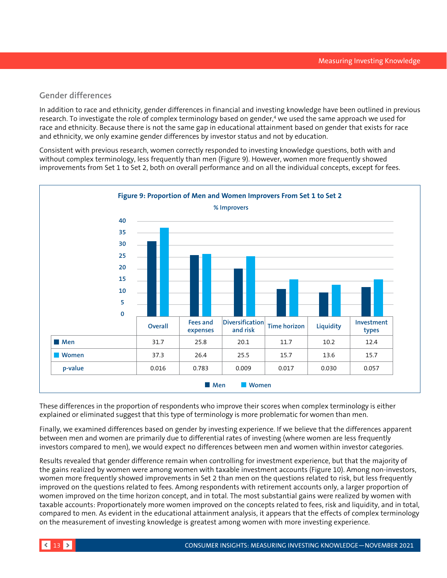## **Gender differences**

In addition to race and ethnicity, gender differences in financial and investing knowledge have been outlined in previous research. To investigate the role of complex terminology based on gender,<sup>4</sup> we used the same approach we used for race and ethnicity. Because there is not the same gap in educational attainment based on gender that exists for race and ethnicity, we only examine gender differences by investor status and not by education.

Consistent with previous research, women correctly responded to investing knowledge questions, both with and without complex terminology, less frequently than men (Figure 9). However, women more frequently showed improvements from Set 1 to Set 2, both on overall performance and on all the individual concepts, except for fees.



These differences in the proportion of respondents who improve their scores when complex terminology is either explained or eliminated suggest that this type of terminology is more problematic for women than men.

Finally, we examined differences based on gender by investing experience. If we believe that the differences apparent between men and women are primarily due to differential rates of investing (where women are less frequently investors compared to men), we would expect no differences between men and women within investor categories.

Results revealed that gender difference remain when controlling for investment experience, but that the majority of the gains realized by women were among women with taxable investment accounts (Figure 10). Among non-investors, women more frequently showed improvements in Set 2 than men on the questions related to risk, but less frequently improved on the questions related to fees. Among respondents with retirement accounts only, a larger proportion of women improved on the time horizon concept, and in total. The most substantial gains were realized by women with taxable accounts: Proportionately more women improved on the concepts related to fees, risk and liquidity, and in total, compared to men. As evident in the educational attainment analysis, it appears that the effects of complex terminology on the measurement of investing knowledge is greatest among women with more investing experience.

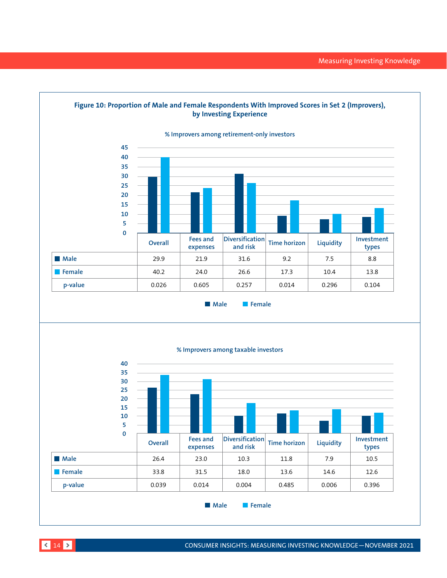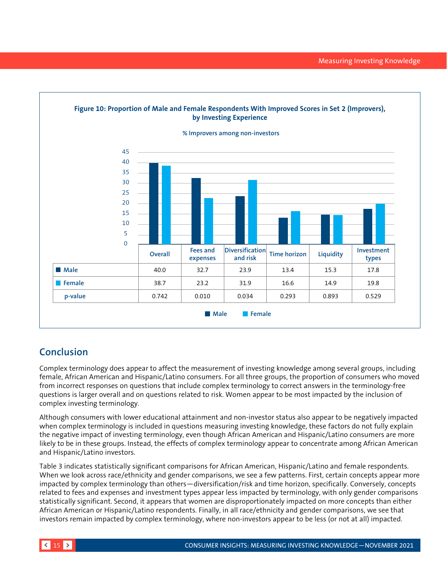<span id="page-14-0"></span>

# **Conclusion**

Complex terminology does appear to affect the measurement of investing knowledge among several groups, including female, African American and Hispanic/Latino consumers. For all three groups, the proportion of consumers who moved from incorrect responses on questions that include complex terminology to correct answers in the terminology-free questions is larger overall and on questions related to risk. Women appear to be most impacted by the inclusion of complex investing terminology.

Although consumers with lower educational attainment and non-investor status also appear to be negatively impacted when complex terminology is included in questions measuring investing knowledge, these factors do not fully explain the negative impact of investing terminology, even though African American and Hispanic/Latino consumers are more likely to be in these groups. Instead, the effects of complex terminology appear to concentrate among African American and Hispanic/Latino investors.

Table 3 indicates statistically significant comparisons for African American, Hispanic/Latino and female respondents. When we look across race/ethnicity and gender comparisons, we see a few patterns. First, certain concepts appear more impacted by complex terminology than others—diversification/risk and time horizon, specifically. Conversely, concepts related to fees and expenses and investment types appear less impacted by terminology, with only gender comparisons statistically significant. Second, it appears that women are disproportionately impacted on more concepts than either African American or Hispanic/Latino respondents. Finally, in all race/ethnicity and gender comparisons, we see that investors remain impacted by complex terminology, where non-investors appear to be less (or not at all) impacted.

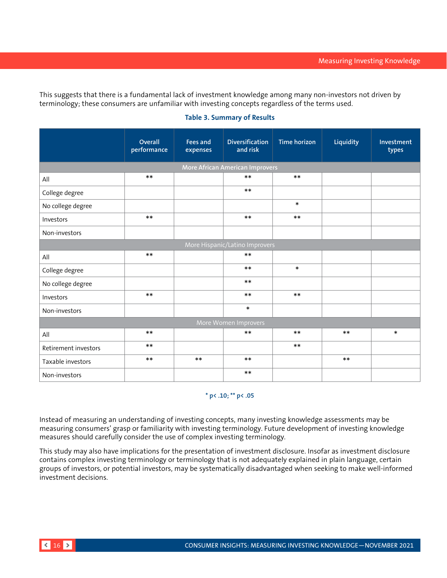This suggests that there is a fundamental lack of investment knowledge among many non-investors not driven by terminology; these consumers are unfamiliar with investing concepts regardless of the terms used.

# **Overall performance Fees and expenses Diversification and risk Time horizon Liquidity Investment types More African American Improvers** All \*\* \*\* \*\* College degree the set of the set of the set of the set of the set of the set of the set of the set of the set of the set of the set of the set of the set of the set of the set of the set of the set of the set of the set o No college degree  $\ast$ Investors  $***$   $***$   $***$   $***$   $***$ Non-investors All \*\* \*\* College degree the set of the set of the set of the set of the set of the set of the set of the set of the set of the set of the set of the set of the set of the set of the set of the set of the set of the set of the set o No college degree the state of the state of the state of the state of the state of the state of the state of the state of the state of the state of the state of the state of the state of the state of the state of the state Investors  $***$   $***$   $***$   $***$   $***$ Non-investors **and the set of the set of the set of the set of the set of the set of the set of the set of the s** All \*\* \*\* \*\* \*\* \*\* \*\* \*\* \*\* \*\* \* Retirement investors  $\begin{array}{ccc} & & & \ast \ast & & \end{array}$ Taxable investors \*\* \*\* \*\* \*\* Non-investors **\*\***

## **Table 3. Summary of Results**

### **\* p< .10; \*\* p< .05**

Instead of measuring an understanding of investing concepts, many investing knowledge assessments may be measuring consumers' grasp or familiarity with investing terminology. Future development of investing knowledge measures should carefully consider the use of complex investing terminology.

This study may also have implications for the presentation of investment disclosure. Insofar as investment disclosure contains complex investing terminology or terminology that is not adequately explained in plain language, certain groups of investors, or potential investors, may be systematically disadvantaged when seeking to make well-informed investment decisions.

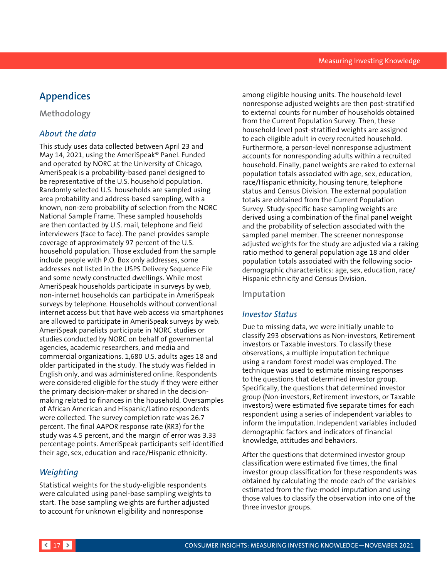# <span id="page-16-0"></span>**Appendices**

**Methodology**

## *About the data*

This study uses data collected between April 23 and May 14, 2021, using the AmeriSpeak® Panel. Funded and operated by NORC at the University of Chicago, AmeriSpeak is a probability-based panel designed to be representative of the U.S. household population. Randomly selected U.S. households are sampled using area probability and address-based sampling, with a known, non-zero probability of selection from the NORC National Sample Frame. These sampled households are then contacted by U.S. mail, telephone and field interviewers (face to face). The panel provides sample coverage of approximately 97 percent of the U.S. household population. Those excluded from the sample include people with P.O. Box only addresses, some addresses not listed in the USPS Delivery Sequence File and some newly constructed dwellings. While most AmeriSpeak households participate in surveys by web, non-internet households can participate in AmeriSpeak surveys by telephone. Households without conventional internet access but that have web access via smartphones are allowed to participate in AmeriSpeak surveys by web. AmeriSpeak panelists participate in NORC studies or studies conducted by NORC on behalf of governmental agencies, academic researchers, and media and commercial organizations. 1,680 U.S. adults ages 18 and older participated in the study. The study was fielded in English only, and was administered online. Respondents were considered eligible for the study if they were either the primary decision-maker or shared in the decisionmaking related to finances in the household. Oversamples of African American and Hispanic/Latino respondents were collected. The survey completion rate was 26.7 percent. The final AAPOR response rate (RR3) for the study was 4.5 percent, and the margin of error was 3.33 percentage points. AmeriSpeak participants self-identified their age, sex, education and race/Hispanic ethnicity.

## *Weighting*

Statistical weights for the study-eligible respondents were calculated using panel-base sampling weights to start. The base sampling weights are further adjusted to account for unknown eligibility and nonresponse

among eligible housing units. The household-level nonresponse adjusted weights are then post-stratified to external counts for number of households obtained from the Current Population Survey. Then, these household-level post-stratified weights are assigned to each eligible adult in every recruited household. Furthermore, a person-level nonresponse adjustment accounts for nonresponding adults within a recruited household. Finally, panel weights are raked to external population totals associated with age, sex, education, race/Hispanic ethnicity, housing tenure, telephone status and Census Division. The external population totals are obtained from the Current Population Survey. Study-specific base sampling weights are derived using a combination of the final panel weight and the probability of selection associated with the sampled panel member. The screener nonresponse adjusted weights for the study are adjusted via a raking ratio method to general population age 18 and older population totals associated with the following sociodemographic characteristics: age, sex, education, race/ Hispanic ethnicity and Census Division.

## **Imputation**

## *Investor Status*

Due to missing data, we were initially unable to classify 293 observations as Non-investors, Retirement investors or Taxable investors. To classify these observations, a multiple imputation technique using a random forest model was employed. The technique was used to estimate missing responses to the questions that determined investor group. Specifically, the questions that determined investor group (Non-investors, Retirement investors, or Taxable investors) were estimated five separate times for each respondent using a series of independent variables to inform the imputation. Independent variables included demographic factors and indicators of financial knowledge, attitudes and behaviors.

After the questions that determined investor group classification were estimated five times, the final investor group classification for these respondents was obtained by calculating the mode each of the variables estimated from the five-model imputation and using those values to classify the observation into one of the three investor groups.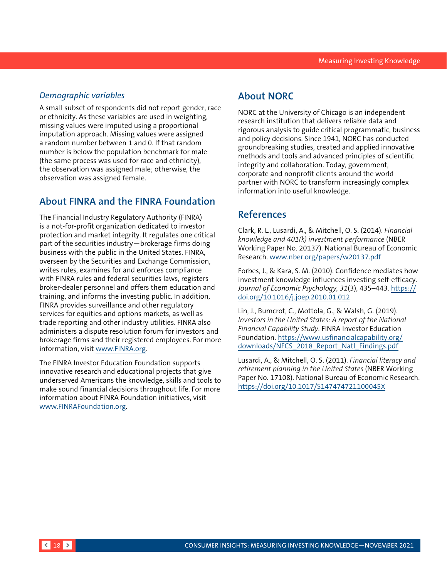## *Demographic variables*

A small subset of respondents did not report gender, race or ethnicity. As these variables are used in weighting, missing values were imputed using a proportional imputation approach. Missing values were assigned a random number between 1 and 0. If that random number is below the population benchmark for male (the same process was used for race and ethnicity), the observation was assigned male; otherwise, the observation was assigned female.

# **About FINRA and the FINRA Foundation**

The Financial Industry Regulatory Authority (FINRA) is a not-for-profit organization dedicated to investor protection and market integrity. It regulates one critical part of the securities industry—brokerage firms doing business with the public in the United States. FINRA, overseen by the Securities and Exchange Commission, writes rules, examines for and enforces compliance with FINRA rules and federal securities laws, registers broker-dealer personnel and offers them education and training, and informs the investing public. In addition, FINRA provides surveillance and other regulatory services for equities and options markets, as well as trade reporting and other industry utilities. FINRA also administers a dispute resolution forum for investors and brokerage firms and their registered employees. For more information, visit [www.FINRA.org.](http://www.FINRA.org)

The FINRA Investor Education Foundation supports innovative research and educational projects that give underserved Americans the knowledge, skills and tools to make sound financial decisions throughout life. For more information about FINRA Foundation initiatives, visit [www.FINRAFoundation.org](http://www.FINRAFoundation.org).

# **About NORC**

NORC at the University of Chicago is an independent research institution that delivers reliable data and rigorous analysis to guide critical programmatic, business and policy decisions. Since 1941, NORC has conducted groundbreaking studies, created and applied innovative methods and tools and advanced principles of scientific integrity and collaboration. Today, government, corporate and nonprofit clients around the world partner with NORC to transform increasingly complex information into useful knowledge.

# **References**

Clark, R. L., Lusardi, A., & Mitchell, O. S. (2014). *Financial knowledge and 401(k) investment performance* (NBER Working Paper No. 20137). National Bureau of Economic Research. www.nber.org/papers/w20137.pdf

Forbes, J., & Kara, S. M. (2010). Confidence mediates how investment knowledge influences investing self-efficacy. *Journal of Economic Psychology, 31*(3), 435–443. [https://](https://doi.org/10.1016/j.joep.2010.01.012) [doi.org/10.1016/j.joep.2010.01.012](https://doi.org/10.1016/j.joep.2010.01.012)

Lin, J., Bumcrot, C., Mottola, G., & Walsh, G. (2019). *Investors in the United States: A report of the National Financial Capability Study*. FINRA Investor Education Foundation. [https://www.usfinancialcapability.org/](https://www.usfinancialcapability.org/downloads/NFCS_2018_Report_Natl_Findings.pdf) downloads/NFCS 2018 Report Natl Findings.pdf

Lusardi, A., & Mitchell, O. S. (2011). *Financial literacy and retirement planning in the United States* (NBER Working Paper No. 17108). National Bureau of Economic Research. <https://doi.org/10.1017/S147474721100045X>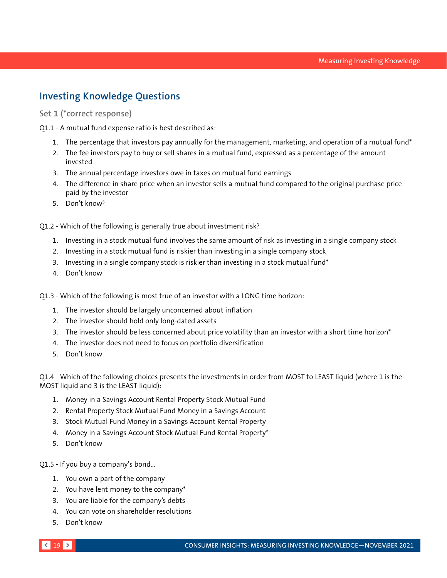# **Investing Knowledge Questions**

**Set 1 (\*correct response)**

Q1.1 - A mutual fund expense ratio is best described as:

- 1. The percentage that investors pay annually for the management, marketing, and operation of a mutual fund\*
- 2. The fee investors pay to buy or sell shares in a mutual fund, expressed as a percentage of the amount invested
- 3. The annual percentage investors owe in taxes on mutual fund earnings
- 4. The difference in share price when an investor sells a mutual fund compared to the original purchase price paid by the investor
- 5. Don't know5

Q1.2 - Which of the following is generally true about investment risk?

- 1. Investing in a stock mutual fund involves the same amount of risk as investing in a single company stock
- 2. Investing in a stock mutual fund is riskier than investing in a single company stock
- 3. Investing in a single company stock is riskier than investing in a stock mutual fund\*
- 4. Don't know

Q1.3 - Which of the following is most true of an investor with a LONG time horizon:

- 1. The investor should be largely unconcerned about inflation
- 2. The investor should hold only long-dated assets
- 3. The investor should be less concerned about price volatility than an investor with a short time horizon\*
- 4. The investor does not need to focus on portfolio diversification
- 5. Don't know

Q1.4 - Which of the following choices presents the investments in order from MOST to LEAST liquid (where 1 is the MOST liquid and 3 is the LEAST liquid):

- 1. Money in a Savings Account Rental Property Stock Mutual Fund
- 2. Rental Property Stock Mutual Fund Money in a Savings Account
- 3. Stock Mutual Fund Money in a Savings Account Rental Property
- 4. Money in a Savings Account Stock Mutual Fund Rental Property\*
- 5. Don't know

Q1.5 - If you buy a company's bond…

- 1. You own a part of the company
- 2. You have lent money to the company\*
- 3. You are liable for the company's debts
- 4. You can vote on shareholder resolutions
- 5. Don't know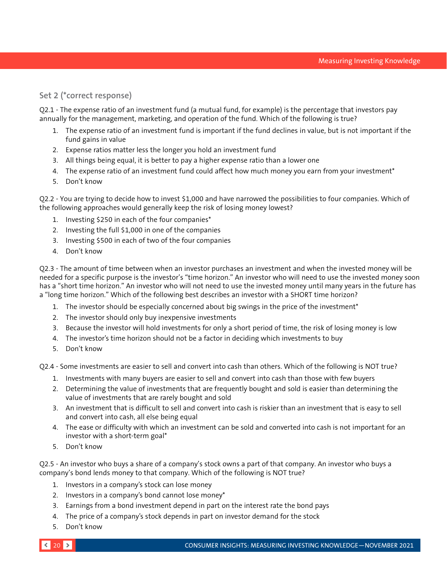## **Set 2 (\*correct response)**

Q2.1 - The expense ratio of an investment fund (a mutual fund, for example) is the percentage that investors pay annually for the management, marketing, and operation of the fund. Which of the following is true?

- 1. The expense ratio of an investment fund is important if the fund declines in value, but is not important if the fund gains in value
- 2. Expense ratios matter less the longer you hold an investment fund
- 3. All things being equal, it is better to pay a higher expense ratio than a lower one
- 4. The expense ratio of an investment fund could affect how much money you earn from your investment\*
- 5. Don't know

Q2.2 - You are trying to decide how to invest \$1,000 and have narrowed the possibilities to four companies. Which of the following approaches would generally keep the risk of losing money lowest?

- 1. Investing \$250 in each of the four companies\*
- 2. Investing the full \$1,000 in one of the companies
- 3. Investing \$500 in each of two of the four companies
- 4. Don't know

Q2.3 - The amount of time between when an investor purchases an investment and when the invested money will be needed for a specific purpose is the investor's "time horizon." An investor who will need to use the invested money soon has a "short time horizon." An investor who will not need to use the invested money until many years in the future has a "long time horizon." Which of the following best describes an investor with a SHORT time horizon?

- 1. The investor should be especially concerned about big swings in the price of the investment\*
- 2. The investor should only buy inexpensive investments
- 3. Because the investor will hold investments for only a short period of time, the risk of losing money is low
- 4. The investor's time horizon should not be a factor in deciding which investments to buy
- 5. Don't know

Q2.4 - Some investments are easier to sell and convert into cash than others. Which of the following is NOT true?

- 1. Investments with many buyers are easier to sell and convert into cash than those with few buyers
- 2. Determining the value of investments that are frequently bought and sold is easier than determining the value of investments that are rarely bought and sold
- 3. An investment that is difficult to sell and convert into cash is riskier than an investment that is easy to sell and convert into cash, all else being equal
- 4. The ease or difficulty with which an investment can be sold and converted into cash is not important for an investor with a short-term goal\*
- 5. Don't know

Q2.5 - An investor who buys a share of a company's stock owns a part of that company. An investor who buys a company's bond lends money to that company. Which of the following is NOT true?

- 1. Investors in a company's stock can lose money
- 2. Investors in a company's bond cannot lose money\*
- 3. Earnings from a bond investment depend in part on the interest rate the bond pays
- 4. The price of a company's stock depends in part on investor demand for the stock
- 5. Don't know